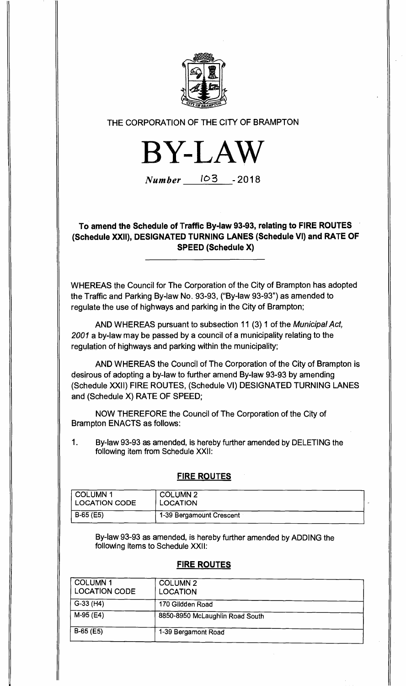

## THE CORPORATION OF THE CITY OF BRAMPTON

**BYLAW**

Number 103 -2018

**To amend the Schedule of Traffic By-law 93-93, relating to FIRE ROUTES (Schedule XXII), DESIGNATED TURNING LANES (Schedule VI) and RATE OF SPEED (Schedule X)** 

WHEREAS the Council for The Corporation of the City of Brampton has adopted the Traffic and Parking By-law No. 93-93, ("By-law 93-93") as amended to regulate the use of highways and parking in the City of Brampton;

AND WHEREAS pursuant to subsection 11 (3) 1 of the Municipal Act, 2001 a by-law may be passed by a council of a municipality relating to the regulation of highways and parking within the municipality;

AND WHEREAS the Council of The Corporation of the City of Brampton is desirous of adopting a by-law to further amend By-law 93-93 by amending (Schedule XXII) FIRE ROUTES, (Schedule VI) DESIGNATED TURNING LANES and (Schedule X) RATE OF SPEED;

NOW THEREFORE the Council of The Corporation of the City of Brampton ENACTS as follows:

1. By-law 93-93 as amended, is hereby further amended by DELETING the following item from Schedule XXII:

### **FIRE ROUTES**

| <b>COLUMN 1</b>      | <b>COLUMN 2</b>          |
|----------------------|--------------------------|
| <b>LOCATION CODE</b> | LOCATION                 |
| B-65 (E5)            | 1-39 Bergamount Crescent |

By-law 93-93 as amended, is hereby further amended by ADDING the following items to Schedule XXII:

### **FIRE ROUTES**

| COLUMN <sub>1</sub><br><b>LOCATION CODE</b> | <b>COLUMN 2</b><br><b>LOCATION</b> |  |
|---------------------------------------------|------------------------------------|--|
| $G-33$ (H4)                                 | 170 Glidden Road                   |  |
| $M-95$ (E4)                                 | 8850-8950 McLaughlin Road South    |  |
| $B-65$ (E5)                                 | 1-39 Bergamont Road                |  |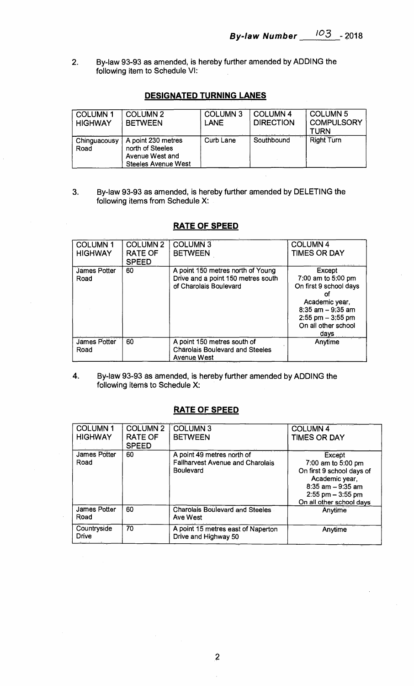**2. By-law 93-93 as amended, is hereby further amended by ADDING the following item to Schedule VI:** 

## **DESIGNATED TURNING LANES**

| <b>COLUMN1</b><br><b>HIGHWAY</b> | <b>COLUMN 2</b><br><b>BETWEEN</b>                                                       | <b>COLUMN 3</b><br><b>LANE</b> | <b>COLUMN 4</b><br><b>DIRECTION</b> | <b>COLUMN 5</b><br><b>COMPULSORY</b><br><b>TURN</b> |
|----------------------------------|-----------------------------------------------------------------------------------------|--------------------------------|-------------------------------------|-----------------------------------------------------|
| Chinguacousy<br>Road             | A point 230 metres<br>north of Steeles<br>Avenue West and<br><b>Steeles Avenue West</b> | <b>Curb Lane</b>               | Southbound                          | <b>Right Turn</b>                                   |

**3. By-law 93-93 as amended, is hereby further amended by DELETING the following items from Schedule X:** 

| <b>COLUMN1</b><br><b>HIGHWAY</b> | <b>COLUMN 2</b><br><b>RATE OF</b><br><b>SPEED</b> | <b>COLUMN 3</b><br><b>BETWEEN</b>                                                                 | <b>COLUMN4</b><br><b>TIMES OR DAY</b>                                                                                                                         |
|----------------------------------|---------------------------------------------------|---------------------------------------------------------------------------------------------------|---------------------------------------------------------------------------------------------------------------------------------------------------------------|
| James Potter<br>Road             | 60                                                | A point 150 metres north of Young<br>Drive and a point 150 metres south<br>of Charolais Boulevard | Except<br>7:00 am to 5:00 pm<br>On first 9 school days<br>ОТ<br>Academic year,<br>$8:35$ am $-9:35$ am<br>$2:55$ pm $-3:55$ pm<br>On all other school<br>days |
| <b>James Potter</b><br>Road      | 60                                                | A point 150 metres south of<br><b>Charolais Boulevard and Steeles</b><br><b>Avenue West</b>       | Anytime                                                                                                                                                       |

# **RATE OF SPEED**

**4. By-law 93-93 as amended, is hereby further amended by ADDING the following items to Schedule X:** 

### **RATE OF SPEED**

| <b>COLUMN1</b><br><b>HIGHWAY</b> | <b>COLUMN 2</b><br>RATE OF<br><b>SPEED</b> | <b>COLUMN 3</b><br><b>BETWEEN</b>                                                         | <b>COLUMN 4</b><br><b>TIMES OR DAY</b>                                                                                                                  |
|----------------------------------|--------------------------------------------|-------------------------------------------------------------------------------------------|---------------------------------------------------------------------------------------------------------------------------------------------------------|
| <b>James Potter</b><br>Road      | 60                                         | A point 49 metres north of<br><b>Fallharvest Avenue and Charolais</b><br><b>Boulevard</b> | Except<br>7:00 am to 5:00 pm<br>On first 9 school days of<br>Academic year,<br>$8:35$ am $-9:35$ am<br>$2:55$ pm $-3:55$ pm<br>On all other school days |
| James Potter<br>Road             | 60                                         | <b>Charolais Boulevard and Steeles</b><br><b>Ave West</b>                                 | Anytime                                                                                                                                                 |
| Countryside<br><b>Drive</b>      | 70                                         | A point 15 metres east of Naperton<br>Drive and Highway 50                                | Anytime                                                                                                                                                 |